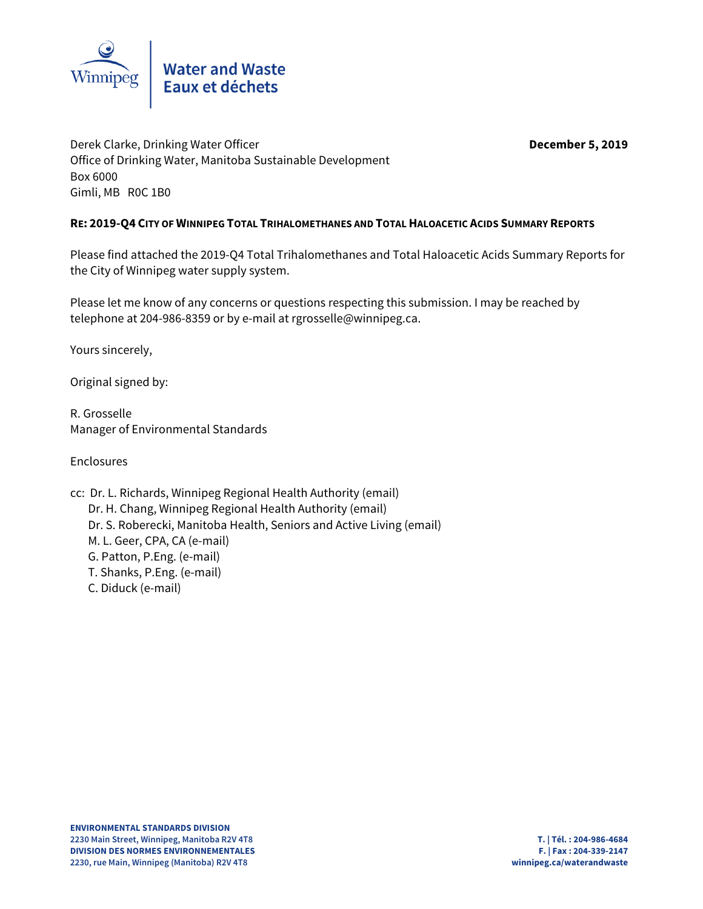

Derek Clarke, Drinking Water Officer **December 5, 2019** Office of Drinking Water, Manitoba Sustainable Development Box 6000 Gimli, MB R0C 1B0

## **RE: 2019-Q4 CITY OF WINNIPEG TOTAL TRIHALOMETHANES AND TOTAL HALOACETIC ACIDS SUMMARY REPORTS**

Please find attached the 2019-Q4 Total Trihalomethanes and Total Haloacetic Acids Summary Reports for the City of Winnipeg water supply system.

Please let me know of any concerns or questions respecting this submission. I may be reached by telephone at 204-986-8359 or by e-mail at rgrosselle@winnipeg.ca.

Yours sincerely,

Original signed by:

R. Grosselle Manager of Environmental Standards

Enclosures

cc: Dr. L. Richards, Winnipeg Regional Health Authority (email) Dr. H. Chang, Winnipeg Regional Health Authority (email) Dr. S. Roberecki, Manitoba Health, Seniors and Active Living (email) M. L. Geer, CPA, CA (e-mail) G. Patton, P.Eng. (e-mail) T. Shanks, P.Eng. (e-mail) C. Diduck (e-mail)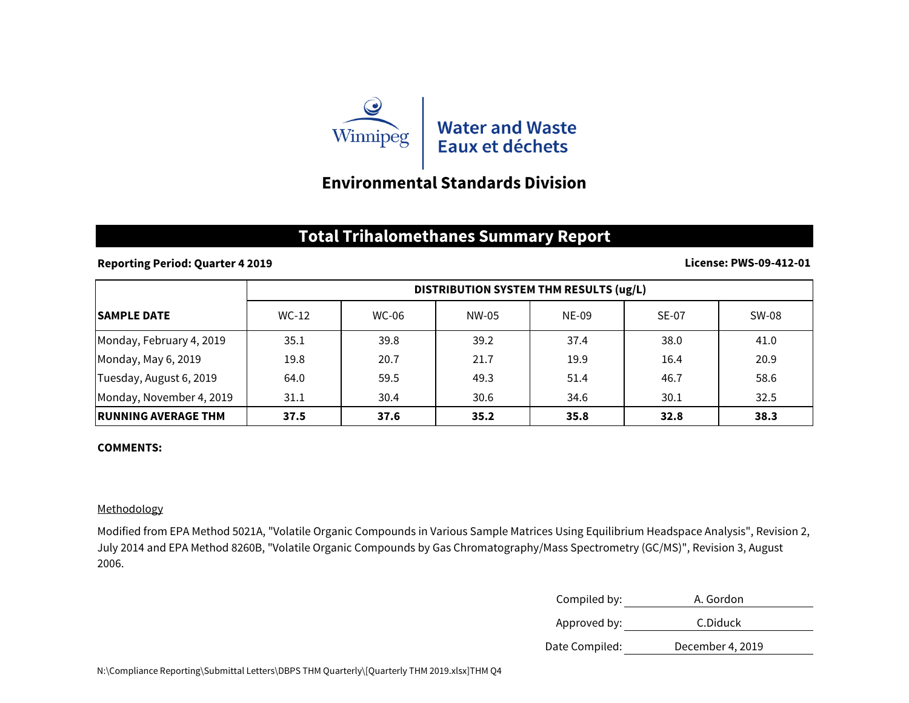

# **Environmental Standards Division**

## **Total Trihalomethanes Summary Report**

## **Reporting Period: Quarter 4 2019**

#### **License: PWS-09-412-01**

|                            | DISTRIBUTION SYSTEM THM RESULTS (ug/L) |       |       |       |              |       |
|----------------------------|----------------------------------------|-------|-------|-------|--------------|-------|
| <b>ISAMPLE DATE</b>        | $WC-12$                                | WC-06 | NW-05 | NE-09 | <b>SE-07</b> | SW-08 |
| Monday, February 4, 2019   | 35.1                                   | 39.8  | 39.2  | 37.4  | 38.0         | 41.0  |
| Monday, May 6, 2019        | 19.8                                   | 20.7  | 21.7  | 19.9  | 16.4         | 20.9  |
| Tuesday, August 6, 2019    | 64.0                                   | 59.5  | 49.3  | 51.4  | 46.7         | 58.6  |
| Monday, November 4, 2019   | 31.1                                   | 30.4  | 30.6  | 34.6  | 30.1         | 32.5  |
| <b>RUNNING AVERAGE THM</b> | 37.5                                   | 37.6  | 35.2  | 35.8  | 32.8         | 38.3  |

### **COMMENTS:**

## Methodology

Modified from EPA Method 5021A, "Volatile Organic Compounds in Various Sample Matrices Using Equilibrium Headspace Analysis", Revision 2, July 2014 and EPA Method 8260B, "Volatile Organic Compounds by Gas Chromatography/Mass Spectrometry (GC/MS)", Revision 3, August 2006.

| Compiled by:   | A. Gordon        |
|----------------|------------------|
| Approved by:   | C.Diduck         |
| Date Compiled: | December 4, 2019 |